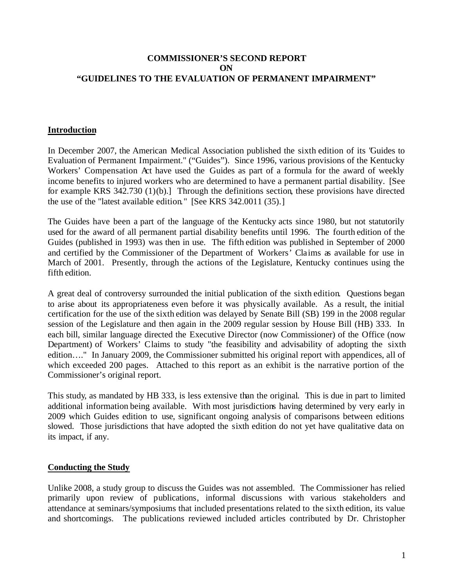# **COMMISSIONER'S SECOND REPORT ON "GUIDELINES TO THE EVALUATION OF PERMANENT IMPAIRMENT"**

# **Introduction**

In December 2007, the American Medical Association published the sixth edition of its "Guides to Evaluation of Permanent Impairment." ("Guides"). Since 1996, various provisions of the Kentucky Workers' Compensation Act have used the Guides as part of a formula for the award of weekly income benefits to injured workers who are determined to have a permanent partial disability. [See for example KRS 342.730 (1)(b).] Through the definitions section, these provisions have directed the use of the "latest available edition." [See KRS 342.0011 (35).]

The Guides have been a part of the language of the Kentucky acts since 1980, but not statutorily used for the award of all permanent partial disability benefits until 1996. The fourth edition of the Guides (published in 1993) was then in use. The fifth edition was published in September of 2000 and certified by the Commissioner of the Department of Workers' Claims as available for use in March of 2001. Presently, through the actions of the Legislature, Kentucky continues using the fifth edition.

A great deal of controversy surrounded the initial publication of the sixth edition. Questions began to arise about its appropriateness even before it was physically available. As a result, the initial certification for the use of the sixth edition was delayed by Senate Bill (SB) 199 in the 2008 regular session of the Legislature and then again in the 2009 regular session by House Bill (HB) 333. In each bill, similar language directed the Executive Director (now Commissioner) of the Office (now Department) of Workers' Claims to study "the feasibility and advisability of adopting the sixth edition…." In January 2009, the Commissioner submitted his original report with appendices, all of which exceeded 200 pages. Attached to this report as an exhibit is the narrative portion of the Commissioner's original report.

This study, as mandated by HB 333, is less extensive than the original. This is due in part to limited additional information being available. With most jurisdictions having determined by very early in 2009 which Guides edition to use, significant ongoing analysis of comparisons between editions slowed. Those jurisdictions that have adopted the sixth edition do not yet have qualitative data on its impact, if any.

# **Conducting the Study**

Unlike 2008, a study group to discuss the Guides was not assembled. The Commissioner has relied primarily upon review of publications, informal discussions with various stakeholders and attendance at seminars/symposiums that included presentations related to the sixth edition, its value and shortcomings. The publications reviewed included articles contributed by Dr. Christopher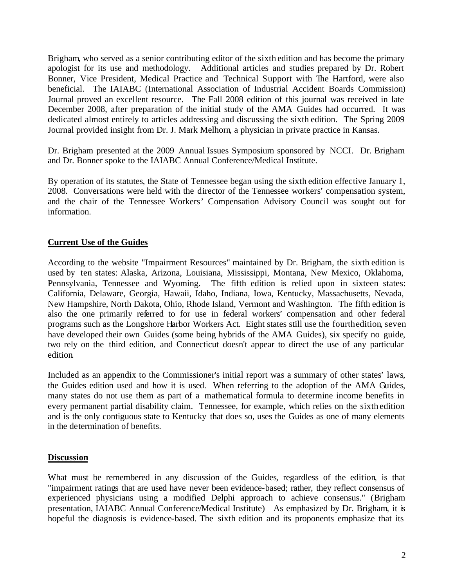Brigham, who served as a senior contributing editor of the sixth edition and has become the primary apologist for its use and methodology. Additional articles and studies prepared by Dr. Robert Bonner, Vice President, Medical Practice and Technical Support with The Hartford, were also beneficial. The IAIABC (International Association of Industrial Accident Boards Commission) Journal proved an excellent resource. The Fall 2008 edition of this journal was received in late December 2008, after preparation of the initial study of the AMA Guides had occurred. It was dedicated almost entirely to articles addressing and discussing the sixth edition. The Spring 2009 Journal provided insight from Dr. J. Mark Melhorn, a physician in private practice in Kansas.

Dr. Brigham presented at the 2009 Annual Issues Symposium sponsored by NCCI. Dr. Brigham and Dr. Bonner spoke to the IAIABC Annual Conference/Medical Institute.

By operation of its statutes, the State of Tennessee began using the sixth edition effective January 1, 2008. Conversations were held with the director of the Tennessee workers' compensation system, and the chair of the Tennessee Workers' Compensation Advisory Council was sought out for information.

# **Current Use of the Guides**

According to the website "Impairment Resources" maintained by Dr. Brigham, the sixth edition is used by ten states: Alaska, Arizona, Louisiana, Mississippi, Montana, New Mexico, Oklahoma, Pennsylvania, Tennessee and Wyoming. The fifth edition is relied upon in sixteen states: California, Delaware, Georgia, Hawaii, Idaho, Indiana, Iowa, Kentucky, Massachusetts, Nevada, New Hampshire, North Dakota, Ohio, Rhode Island, Vermont and Washington. The fifth edition is also the one primarily referred to for use in federal workers' compensation and other federal programs such as the Longshore Harbor Workers Act. Eight states still use the fourthedition, seven have developed their own Guides (some being hybrids of the AMA Guides), six specify no guide, two rely on the third edition, and Connecticut doesn't appear to direct the use of any particular edition.

Included as an appendix to the Commissioner's initial report was a summary of other states' laws, the Guides edition used and how it is used. When referring to the adoption of the AMA Guides, many states do not use them as part of a mathematical formula to determine income benefits in every permanent partial disability claim. Tennessee, for example, which relies on the sixth edition and is the only contiguous state to Kentucky that does so, uses the Guides as one of many elements in the determination of benefits.

### **Discussion**

What must be remembered in any discussion of the Guides, regardless of the edition, is that "impairment ratings that are used have never been evidence-based; rather, they reflect consensus of experienced physicians using a modified Delphi approach to achieve consensus." (Brigham presentation, IAIABC Annual Conference/Medical Institute) As emphasized by Dr. Brigham, it is hopeful the diagnosis is evidence-based. The sixth edition and its proponents emphasize that its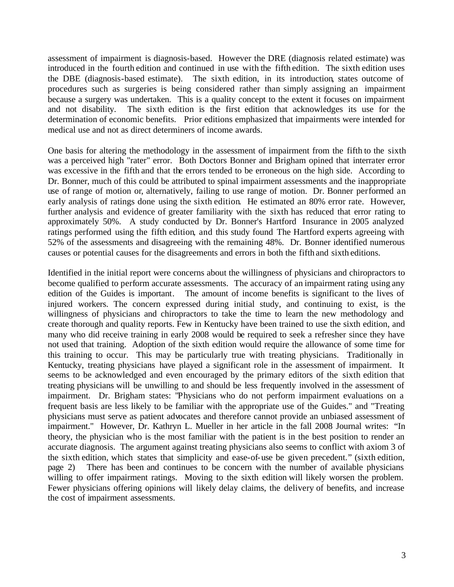assessment of impairment is diagnosis-based. However the DRE (diagnosis related estimate) was introduced in the fourth edition and continued in use with the fifth edition. The sixth edition uses the DBE (diagnosis-based estimate). The sixth edition, in its introduction, states outcome of procedures such as surgeries is being considered rather than simply assigning an impairment because a surgery was undertaken. This is a quality concept to the extent it focuses on impairment and not disability. The sixth edition is the first edition that acknowledges its use for the determination of economic benefits. Prior editions emphasized that impairments were intended for medical use and not as direct determiners of income awards.

One basis for altering the methodology in the assessment of impairment from the fifth to the sixth was a perceived high "rater" error. Both Doctors Bonner and Brigham opined that interrater error was excessive in the fifth and that the errors tended to be erroneous on the high side. According to Dr. Bonner, much of this could be attributed to spinal impairment assessments and the inappropriate use of range of motion or, alternatively, failing to use range of motion. Dr. Bonner performed an early analysis of ratings done using the sixth edition. He estimated an 80% error rate. However, further analysis and evidence of greater familiarity with the sixth has reduced that error rating to approximately 50%. A study conducted by Dr. Bonner's Hartford Insurance in 2005 analyzed ratings performed using the fifth edition, and this study found The Hartford experts agreeing with 52% of the assessments and disagreeing with the remaining 48%. Dr. Bonner identified numerous causes or potential causes for the disagreements and errors in both the fifth and sixth editions.

Identified in the initial report were concerns about the willingness of physicians and chiropractors to become qualified to perform accurate assessments. The accuracy of an impairment rating using any edition of the Guides is important. The amount of income benefits is significant to the lives of injured workers. The concern expressed during initial study, and continuing to exist, is the willingness of physicians and chiropractors to take the time to learn the new methodology and create thorough and quality reports. Few in Kentucky have been trained to use the sixth edition, and many who did receive training in early 2008 would be required to seek a refresher since they have not used that training. Adoption of the sixth edition would require the allowance of some time for this training to occur. This may be particularly true with treating physicians. Traditionally in Kentucky, treating physicians have played a significant role in the assessment of impairment. It seems to be acknowledged and even encouraged by the primary editors of the sixth edition that treating physicians will be unwilling to and should be less frequently involved in the assessment of impairment. Dr. Brigham states: "Physicians who do not perform impairment evaluations on a frequent basis are less likely to be familiar with the appropriate use of the Guides." and "Treating physicians must serve as patient advocates and therefore cannot provide an unbiased assessment of impairment." However, Dr. Kathryn L. Mueller in her article in the fall 2008 Journal writes: "In theory, the physician who is the most familiar with the patient is in the best position to render an accurate diagnosis. The argument against treating physicians also seems to conflict with axiom 3 of the sixth edition, which states that simplicity and ease-of-use be given precedent." (sixth edition, page 2) There has been and continues to be concern with the number of available physicians willing to offer impairment ratings. Moving to the sixth edition will likely worsen the problem. Fewer physicians offering opinions will likely delay claims, the delivery of benefits, and increase the cost of impairment assessments.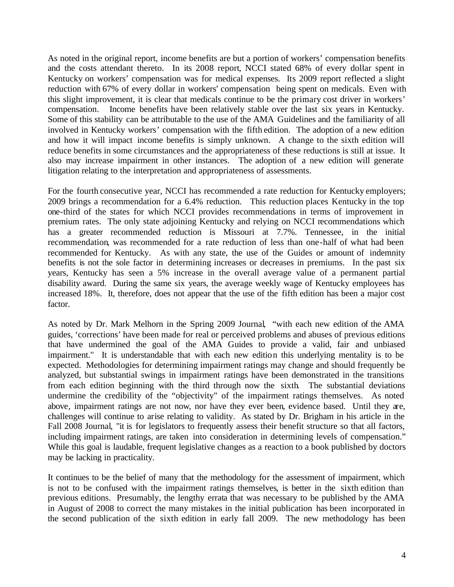As noted in the original report, income benefits are but a portion of workers' compensation benefits and the costs attendant thereto. In its 2008 report, NCCI stated 68% of every dollar spent in Kentucky on workers' compensation was for medical expenses. Its 2009 report reflected a slight reduction with 67% of every dollar in workers' compensation being spent on medicals. Even with this slight improvement, it is clear that medicals continue to be the primary cost driver in workers' compensation. Income benefits have been relatively stable over the last six years in Kentucky. Some of this stability can be attributable to the use of the AMA Guidelines and the familiarity of all involved in Kentucky workers' compensation with the fifth edition. The adoption of a new edition and how it will impact income benefits is simply unknown. A change to the sixth edition will reduce benefits in some circumstances and the appropriateness of these reductions is still at issue. It also may increase impairment in other instances. The adoption of a new edition will generate litigation relating to the interpretation and appropriateness of assessments.

For the fourth consecutive year, NCCI has recommended a rate reduction for Kentucky employers; 2009 brings a recommendation for a 6.4% reduction. This reduction places Kentucky in the top one-third of the states for which NCCI provides recommendations in terms of improvement in premium rates. The only state adjoining Kentucky and relying on NCCI recommendations which has a greater recommended reduction is Missouri at 7.7%. Tennessee, in the initial recommendation, was recommended for a rate reduction of less than one-half of what had been recommended for Kentucky. As with any state, the use of the Guides or amount of indemnity benefits is not the sole factor in determining increases or decreases in premiums. In the past six years, Kentucky has seen a 5% increase in the overall average value of a permanent partial disability award. During the same six years, the average weekly wage of Kentucky employees has increased 18%. It, therefore, does not appear that the use of the fifth edition has been a major cost factor.

As noted by Dr. Mark Melhorn in the Spring 2009 Journal, "with each new edition of the AMA guides, 'corrections' have been made for real or perceived problems and abuses of previous editions that have undermined the goal of the AMA Guides to provide a valid, fair and unbiased impairment." It is understandable that with each new edition this underlying mentality is to be expected. Methodologies for determining impairment ratings may change and should frequently be analyzed, but substantial swings in impairment ratings have been demonstrated in the transitions from each edition beginning with the third through now the sixth. The substantial deviations undermine the credibility of the "objectivity" of the impairment ratings themselves. As noted above, impairment ratings are not now, nor have they ever been, evidence based. Until they are, challenges will continue to arise relating to validity. As stated by Dr. Brigham in his article in the Fall 2008 Journal, "it is for legislators to frequently assess their benefit structure so that all factors, including impairment ratings, are taken into consideration in determining levels of compensation." While this goal is laudable, frequent legislative changes as a reaction to a book published by doctors may be lacking in practicality.

It continues to be the belief of many that the methodology for the assessment of impairment, which is not to be confused with the impairment ratings themselves, is better in the sixth edition than previous editions. Presumably, the lengthy errata that was necessary to be published by the AMA in August of 2008 to correct the many mistakes in the initial publication has been incorporated in the second publication of the sixth edition in early fall 2009. The new methodology has been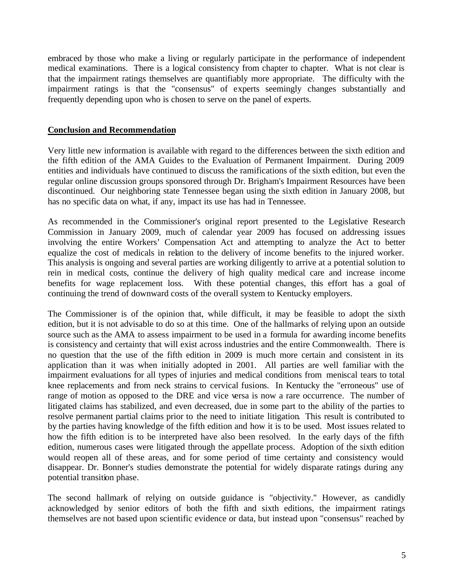embraced by those who make a living or regularly participate in the performance of independent medical examinations. There is a logical consistency from chapter to chapter. What is not clear is that the impairment ratings themselves are quantifiably more appropriate. The difficulty with the impairment ratings is that the "consensus" of experts seemingly changes substantially and frequently depending upon who is chosen to serve on the panel of experts.

# **Conclusion and Recommendation**

Very little new information is available with regard to the differences between the sixth edition and the fifth edition of the AMA Guides to the Evaluation of Permanent Impairment. During 2009 entities and individuals have continued to discuss the ramifications of the sixth edition, but even the regular online discussion groups sponsored through Dr. Brigham's Impairment Resources have been discontinued. Our neighboring state Tennessee began using the sixth edition in January 2008, but has no specific data on what, if any, impact its use has had in Tennessee.

As recommended in the Commissioner's original report presented to the Legislative Research Commission in January 2009, much of calendar year 2009 has focused on addressing issues involving the entire Workers' Compensation Act and attempting to analyze the Act to better equalize the cost of medicals in relation to the delivery of income benefits to the injured worker. This analysis is ongoing and several parties are working diligently to arrive at a potential solution to rein in medical costs, continue the delivery of high quality medical care and increase income benefits for wage replacement loss. With these potential changes, this effort has a goal of continuing the trend of downward costs of the overall system to Kentucky employers.

The Commissioner is of the opinion that, while difficult, it may be feasible to adopt the sixth edition, but it is not advisable to do so at this time. One of the hallmarks of relying upon an outside source such as the AMA to assess impairment to be used in a formula for awarding income benefits is consistency and certainty that will exist across industries and the entire Commonwealth. There is no question that the use of the fifth edition in 2009 is much more certain and consistent in its application than it was when initially adopted in 2001. All parties are well familiar with the impairment evaluations for all types of injuries and medical conditions from meniscal tears to total knee replacements and from neck strains to cervical fusions. In Kentucky the "erroneous" use of range of motion as opposed to the DRE and vice versa is now a rare occurrence. The number of litigated claims has stabilized, and even decreased, due in some part to the ability of the parties to resolve permanent partial claims prior to the need to initiate litigation. This result is contributed to by the parties having knowledge of the fifth edition and how it is to be used. Most issues related to how the fifth edition is to be interpreted have also been resolved. In the early days of the fifth edition, numerous cases were litigated through the appellate process. Adoption of the sixth edition would reopen all of these areas, and for some period of time certainty and consistency would disappear. Dr. Bonner's studies demonstrate the potential for widely disparate ratings during any potential transition phase.

The second hallmark of relying on outside guidance is "objectivity." However, as candidly acknowledged by senior editors of both the fifth and sixth editions, the impairment ratings themselves are not based upon scientific evidence or data, but instead upon "consensus" reached by